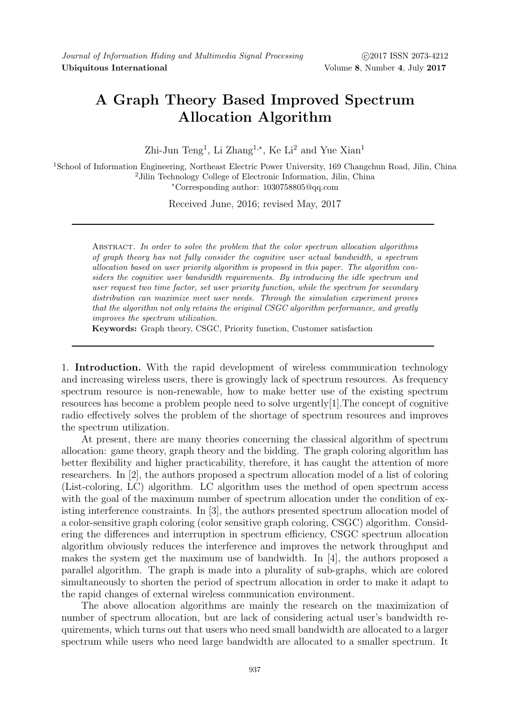## A Graph Theory Based Improved Spectrum Allocation Algorithm

Zhi-Jun Teng<sup>1</sup>, Li Zhang<sup>1,\*</sup>, Ke Li<sup>2</sup> and Yue Xian<sup>1</sup>

<sup>1</sup>School of Information Engineering, Northeast Electric Power University, 169 Changchun Road, Jilin, China <sup>2</sup>Jilin Technology College of Electronic Information, Jilin, China <sup>∗</sup>Corresponding author: 1030758805@qq.com

Received June, 2016; revised May, 2017

ABSTRACT. In order to solve the problem that the color spectrum allocation algorithms of graph theory has not fully consider the cognitive user actual bandwidth, a spectrum allocation based on user priority algorithm is proposed in this paper. The algorithm considers the cognitive user bandwidth requirements. By introducing the idle spectrum and user request two time factor, set user priority function, while the spectrum for secondary distribution can maximize meet user needs. Through the simulation experiment proves that the algorithm not only retains the original CSGC algorithm performance, and greatly improves the spectrum utilization.

Keywords: Graph theory, CSGC, Priority function, Customer satisfaction

1. Introduction. With the rapid development of wireless communication technology and increasing wireless users, there is growingly lack of spectrum resources. As frequency spectrum resource is non-renewable, how to make better use of the existing spectrum resources has become a problem people need to solve urgently[1].The concept of cognitive radio effectively solves the problem of the shortage of spectrum resources and improves the spectrum utilization.

At present, there are many theories concerning the classical algorithm of spectrum allocation: game theory, graph theory and the bidding. The graph coloring algorithm has better flexibility and higher practicability, therefore, it has caught the attention of more researchers. In [2], the authors proposed a spectrum allocation model of a list of coloring (List-coloring, LC) algorithm. LC algorithm uses the method of open spectrum access with the goal of the maximum number of spectrum allocation under the condition of existing interference constraints. In [3], the authors presented spectrum allocation model of a color-sensitive graph coloring (color sensitive graph coloring, CSGC) algorithm. Considering the differences and interruption in spectrum efficiency, CSGC spectrum allocation algorithm obviously reduces the interference and improves the network throughput and makes the system get the maximum use of bandwidth. In [4], the authors proposed a parallel algorithm. The graph is made into a plurality of sub-graphs, which are colored simultaneously to shorten the period of spectrum allocation in order to make it adapt to the rapid changes of external wireless communication environment.

The above allocation algorithms are mainly the research on the maximization of number of spectrum allocation, but are lack of considering actual user's bandwidth requirements, which turns out that users who need small bandwidth are allocated to a larger spectrum while users who need large bandwidth are allocated to a smaller spectrum. It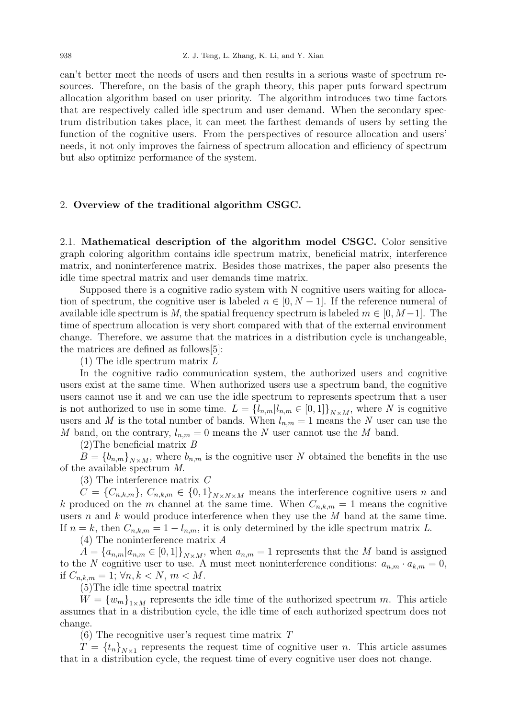can't better meet the needs of users and then results in a serious waste of spectrum resources. Therefore, on the basis of the graph theory, this paper puts forward spectrum allocation algorithm based on user priority. The algorithm introduces two time factors that are respectively called idle spectrum and user demand. When the secondary spectrum distribution takes place, it can meet the farthest demands of users by setting the function of the cognitive users. From the perspectives of resource allocation and users' needs, it not only improves the fairness of spectrum allocation and efficiency of spectrum but also optimize performance of the system.

## 2. Overview of the traditional algorithm CSGC.

2.1. Mathematical description of the algorithm model CSGC. Color sensitive graph coloring algorithm contains idle spectrum matrix, beneficial matrix, interference matrix, and noninterference matrix. Besides those matrixes, the paper also presents the idle time spectral matrix and user demands time matrix.

Supposed there is a cognitive radio system with N cognitive users waiting for allocation of spectrum, the cognitive user is labeled  $n \in [0, N-1]$ . If the reference numeral of available idle spectrum is M, the spatial frequency spectrum is labeled  $m \in [0, M-1]$ . The time of spectrum allocation is very short compared with that of the external environment change. Therefore, we assume that the matrices in a distribution cycle is unchangeable, the matrices are defined as follows[5]:

(1) The idle spectrum matrix L

In the cognitive radio communication system, the authorized users and cognitive users exist at the same time. When authorized users use a spectrum band, the cognitive users cannot use it and we can use the idle spectrum to represents spectrum that a user is not authorized to use in some time.  $L = \{l_{n,m}|l_{n,m} \in [0,1]\}_{N \times M}$ , where N is cognitive users and M is the total number of bands. When  $l_{n,m} = 1$  means the N user can use the M band, on the contrary,  $l_{n,m} = 0$  means the N user cannot use the M band.

(2)The beneficial matrix B

 $B = \{b_{n,m}\}_{N\times M}$ , where  $b_{n,m}$  is the cognitive user N obtained the benefits in the use of the available spectrum M.

(3) The interference matrix C

 $C = \{C_{n,k,m}\}, C_{n,k,m} \in \{0,1\}_{N\times N\times M}$  means the interference cognitive users n and k produced on the m channel at the same time. When  $C_{n,k,m} = 1$  means the cognitive users n and k would produce interference when they use the  $M$  band at the same time. If  $n = k$ , then  $C_{n,k,m} = 1 - l_{n,m}$ , it is only determined by the idle spectrum matrix L.

(4) The noninterference matrix A

 $A = \{a_{n,m}|a_{n,m} \in [0,1]\}_{N\times M}$ , when  $a_{n,m} = 1$  represents that the M band is assigned to the N cognitive user to use. A must meet noninterference conditions:  $a_{n,m} \cdot a_{k,m} = 0$ , if  $C_{n,k,m} = 1$ ;  $\forall n, k < N, m < M$ .

(5)The idle time spectral matrix

 $W = \{w_m\}_{m \in \mathbb{N}}$  represents the idle time of the authorized spectrum m. This article assumes that in a distribution cycle, the idle time of each authorized spectrum does not change.

 $(6)$  The recognitive user's request time matrix T

 $T = \{t_n\}_{N\times 1}$  represents the request time of cognitive user n. This article assumes that in a distribution cycle, the request time of every cognitive user does not change.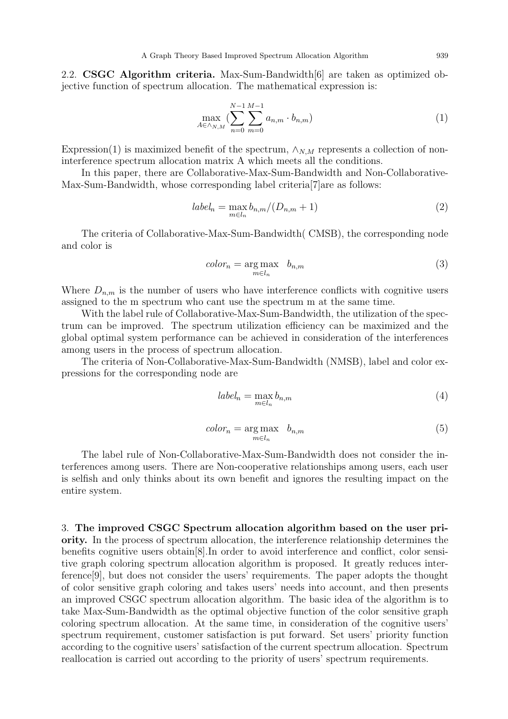2.2. CSGC Algorithm criteria. Max-Sum-Bandwidth[6] are taken as optimized objective function of spectrum allocation. The mathematical expression is:

$$
\max_{A \in \wedge_{N,M}} \left( \sum_{n=0}^{N-1} \sum_{m=0}^{M-1} a_{n,m} \cdot b_{n,m} \right) \tag{1}
$$

Expression(1) is maximized benefit of the spectrum,  $\wedge_{N,M}$  represents a collection of noninterference spectrum allocation matrix A which meets all the conditions.

In this paper, there are Collaborative-Max-Sum-Bandwidth and Non-Collaborative-Max-Sum-Bandwidth, whose corresponding label criteria[7]are as follows:

$$
label_n = \max_{m \in l_n} b_{n,m} / (D_{n,m} + 1)
$$
\n(2)

The criteria of Collaborative-Max-Sum-Bandwidth( CMSB), the corresponding node and color is

$$
color_n = \underset{m \in l_n}{\arg \max} \quad b_{n,m} \tag{3}
$$

Where  $D_{n,m}$  is the number of users who have interference conflicts with cognitive users assigned to the m spectrum who cant use the spectrum m at the same time.

With the label rule of Collaborative-Max-Sum-Bandwidth, the utilization of the spectrum can be improved. The spectrum utilization efficiency can be maximized and the global optimal system performance can be achieved in consideration of the interferences among users in the process of spectrum allocation.

The criteria of Non-Collaborative-Max-Sum-Bandwidth (NMSB), label and color expressions for the corresponding node are

$$
label_n = \max_{m \in l_n} b_{n,m} \tag{4}
$$

$$
color_n = \underset{m \in l_n}{\arg \max} \quad b_{n,m} \tag{5}
$$

The label rule of Non-Collaborative-Max-Sum-Bandwidth does not consider the interferences among users. There are Non-cooperative relationships among users, each user is selfish and only thinks about its own benefit and ignores the resulting impact on the entire system.

3. The improved CSGC Spectrum allocation algorithm based on the user priority. In the process of spectrum allocation, the interference relationship determines the benefits cognitive users obtain[8].In order to avoid interference and conflict, color sensitive graph coloring spectrum allocation algorithm is proposed. It greatly reduces interference[9], but does not consider the users' requirements. The paper adopts the thought of color sensitive graph coloring and takes users' needs into account, and then presents an improved CSGC spectrum allocation algorithm. The basic idea of the algorithm is to take Max-Sum-Bandwidth as the optimal objective function of the color sensitive graph coloring spectrum allocation. At the same time, in consideration of the cognitive users' spectrum requirement, customer satisfaction is put forward. Set users' priority function according to the cognitive users' satisfaction of the current spectrum allocation. Spectrum reallocation is carried out according to the priority of users' spectrum requirements.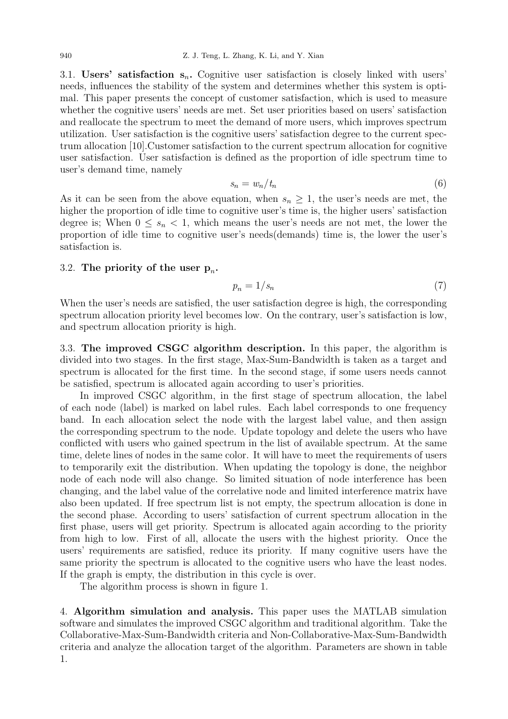3.1. Users' satisfaction  $s_n$ . Cognitive user satisfaction is closely linked with users' needs, influences the stability of the system and determines whether this system is optimal. This paper presents the concept of customer satisfaction, which is used to measure whether the cognitive users' needs are met. Set user priorities based on users' satisfaction and reallocate the spectrum to meet the demand of more users, which improves spectrum utilization. User satisfaction is the cognitive users' satisfaction degree to the current spectrum allocation [10].Customer satisfaction to the current spectrum allocation for cognitive user satisfaction. User satisfaction is defined as the proportion of idle spectrum time to user's demand time, namely

$$
s_n = w_n / t_n \tag{6}
$$

As it can be seen from the above equation, when  $s_n \geq 1$ , the user's needs are met, the higher the proportion of idle time to cognitive user's time is, the higher users' satisfaction degree is; When  $0 \leq s_n < 1$ , which means the user's needs are not met, the lower the proportion of idle time to cognitive user's needs(demands) time is, the lower the user's satisfaction is.

## 3.2. The priority of the user  $p_n$ .

$$
p_n = 1/s_n \tag{7}
$$

When the user's needs are satisfied, the user satisfaction degree is high, the corresponding spectrum allocation priority level becomes low. On the contrary, user's satisfaction is low, and spectrum allocation priority is high.

3.3. The improved CSGC algorithm description. In this paper, the algorithm is divided into two stages. In the first stage, Max-Sum-Bandwidth is taken as a target and spectrum is allocated for the first time. In the second stage, if some users needs cannot be satisfied, spectrum is allocated again according to user's priorities.

In improved CSGC algorithm, in the first stage of spectrum allocation, the label of each node (label) is marked on label rules. Each label corresponds to one frequency band. In each allocation select the node with the largest label value, and then assign the corresponding spectrum to the node. Update topology and delete the users who have conflicted with users who gained spectrum in the list of available spectrum. At the same time, delete lines of nodes in the same color. It will have to meet the requirements of users to temporarily exit the distribution. When updating the topology is done, the neighbor node of each node will also change. So limited situation of node interference has been changing, and the label value of the correlative node and limited interference matrix have also been updated. If free spectrum list is not empty, the spectrum allocation is done in the second phase. According to users' satisfaction of current spectrum allocation in the first phase, users will get priority. Spectrum is allocated again according to the priority from high to low. First of all, allocate the users with the highest priority. Once the users' requirements are satisfied, reduce its priority. If many cognitive users have the same priority the spectrum is allocated to the cognitive users who have the least nodes. If the graph is empty, the distribution in this cycle is over.

The algorithm process is shown in figure 1.

4. Algorithm simulation and analysis. This paper uses the MATLAB simulation software and simulates the improved CSGC algorithm and traditional algorithm. Take the Collaborative-Max-Sum-Bandwidth criteria and Non-Collaborative-Max-Sum-Bandwidth criteria and analyze the allocation target of the algorithm. Parameters are shown in table 1.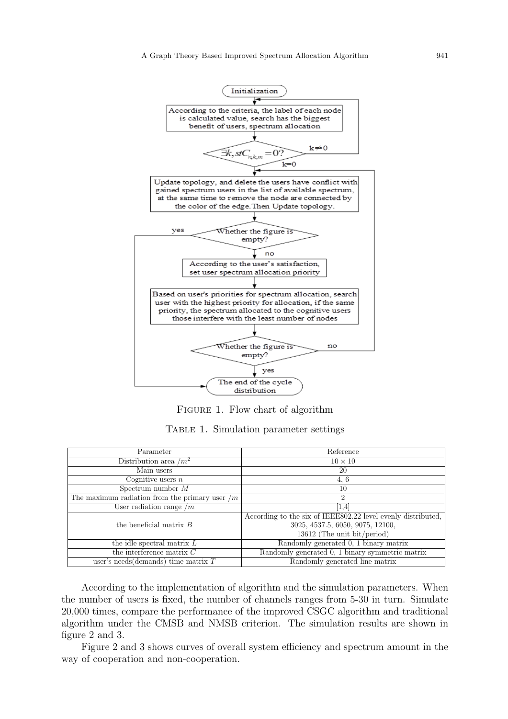

Figure 1. Flow chart of algorithm

| Parameter                                        | Reference                                                    |
|--------------------------------------------------|--------------------------------------------------------------|
| Distribution area $/m^2$                         | $10 \times 10$                                               |
| Main users                                       | 20                                                           |
| Cognitive users $n$                              | 4.6                                                          |
| Spectrum number $M$                              | 10                                                           |
| The maximum radiation from the primary user $/m$ | 2                                                            |
| User radiation range $/m$                        | 1,4                                                          |
|                                                  | According to the six of IEEE802.22 level evenly distributed, |
| the beneficial matrix $B$                        | 3025, 4537.5, 6050, 9075, 12100,                             |
|                                                  | 13612 (The unit bit/period)                                  |
| the idle spectral matrix $L$                     | Randomly generated 0, 1 binary matrix                        |
| the interference matrix $C$                      | Randomly generated 0, 1 binary symmetric matrix              |
| user's needs (demands) time matrix $T$           | Randomly generated line matrix                               |

Table 1. Simulation parameter settings

According to the implementation of algorithm and the simulation parameters. When the number of users is fixed, the number of channels ranges from 5-30 in turn. Simulate 20,000 times, compare the performance of the improved CSGC algorithm and traditional algorithm under the CMSB and NMSB criterion. The simulation results are shown in figure 2 and 3.

Figure 2 and 3 shows curves of overall system efficiency and spectrum amount in the way of cooperation and non-cooperation.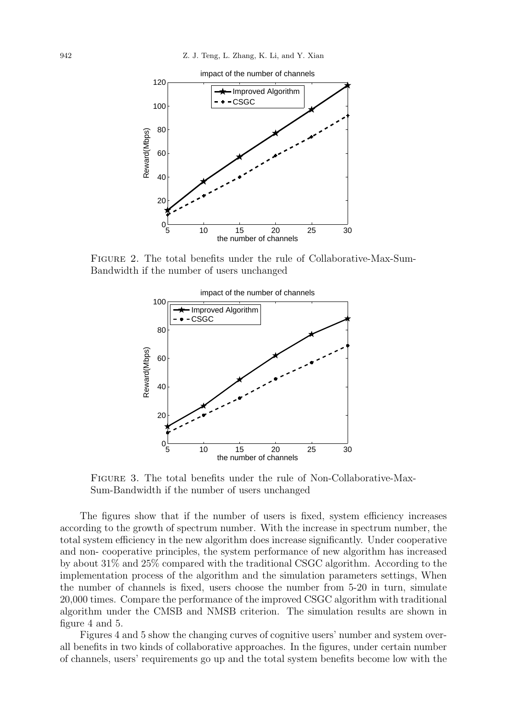

Figure 2. The total benefits under the rule of Collaborative-Max-Sum-Bandwidth if the number of users unchanged



Figure 3. The total benefits under the rule of Non-Collaborative-Max-Sum-Bandwidth if the number of users unchanged

The figures show that if the number of users is fixed, system efficiency increases according to the growth of spectrum number. With the increase in spectrum number, the total system efficiency in the new algorithm does increase significantly. Under cooperative and non- cooperative principles, the system performance of new algorithm has increased by about 31% and 25% compared with the traditional CSGC algorithm. According to the implementation process of the algorithm and the simulation parameters settings, When the number of channels is fixed, users choose the number from 5-20 in turn, simulate 20,000 times. Compare the performance of the improved CSGC algorithm with traditional algorithm under the CMSB and NMSB criterion. The simulation results are shown in figure 4 and 5.

Figures 4 and 5 show the changing curves of cognitive users' number and system overall benefits in two kinds of collaborative approaches. In the figures, under certain number of channels, users' requirements go up and the total system benefits become low with the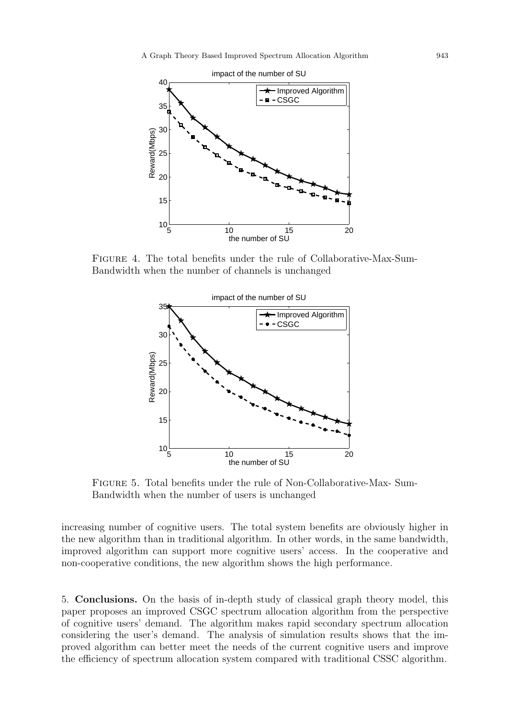

Figure 4. The total benefits under the rule of Collaborative-Max-Sum-Bandwidth when the number of channels is unchanged



Figure 5. Total benefits under the rule of Non-Collaborative-Max- Sum-Bandwidth when the number of users is unchanged

increasing number of cognitive users. The total system benefits are obviously higher in the new algorithm than in traditional algorithm. In other words, in the same bandwidth, improved algorithm can support more cognitive users' access. In the cooperative and non-cooperative conditions, the new algorithm shows the high performance.

5. Conclusions. On the basis of in-depth study of classical graph theory model, this paper proposes an improved CSGC spectrum allocation algorithm from the perspective of cognitive users' demand. The algorithm makes rapid secondary spectrum allocation considering the user's demand. The analysis of simulation results shows that the improved algorithm can better meet the needs of the current cognitive users and improve the efficiency of spectrum allocation system compared with traditional CSSC algorithm.